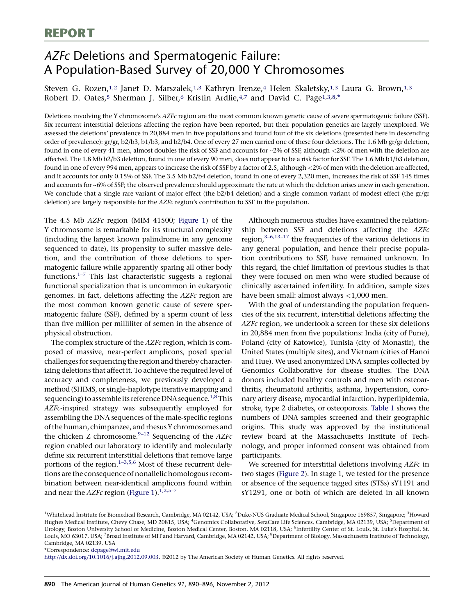# AZFc Deletions and Spermatogenic Failure: A Population-Based Survey of 20,000 Y Chromosomes

Steven G. Rozen,<sup>1,2</sup> Janet D. Marszalek,<sup>1,3</sup> Kathryn Irenze,<sup>4</sup> Helen Skaletsky,<sup>1,3</sup> Laura G. Brown,<sup>1,3</sup> Robert D. Oates,<sup>5</sup> Sherman J. Silber,<sup>6</sup> Kristin Ardlie,<sup>4,7</sup> and David C. Page<sup>1,3,8,\*</sup>

Deletions involving the Y chromosome's AZFc region are the most common known genetic cause of severe spermatogenic failure (SSF). Six recurrent interstitial deletions affecting the region have been reported, but their population genetics are largely unexplored. We assessed the deletions' prevalence in 20,884 men in five populations and found four of the six deletions (presented here in descending order of prevalence): gr/gr, b2/b3, b1/b3, and b2/b4. One of every 27 men carried one of these four deletions. The 1.6 Mb gr/gr deletion, found in one of every 41 men, almost doubles the risk of SSF and accounts for ~2% of SSF, although <2% of men with the deletion are affected. The 1.8 Mb b2/b3 deletion, found in one of every 90 men, does not appear to be a risk factor for SSF. The 1.6 Mb b1/b3 deletion, found in one of every 994 men, appears to increase the risk of SSF by a factor of 2.5, although <2% of men with the deletion are affected, and it accounts for only 0.15% of SSF. The 3.5 Mb b2/b4 deletion, found in one of every 2,320 men, increases the risk of SSF 145 times and accounts for ~6% of SSF; the observed prevalence should approximate the rate at which the deletion arises anew in each generation. We conclude that a single rare variant of major effect (the b2/b4 deletion) and a single common variant of modest effect (the gr/gr deletion) are largely responsible for the AZFc region's contribution to SSF in the population.

The 4.5 Mb AZFc region (MIM 41500; [Figure 1\)](#page-1-0) of the Y chromosome is remarkable for its structural complexity (including the largest known palindrome in any genome sequenced to date), its propensity to suffer massive deletion, and the contribution of those deletions to spermatogenic failure while apparently sparing all other body functions. $1-7$  This last characteristic suggests a regional functional specialization that is uncommon in eukaryotic genomes. In fact, deletions affecting the AZFc region are the most common known genetic cause of severe spermatogenic failure (SSF), defined by a sperm count of less than five million per milliliter of semen in the absence of physical obstruction.

The complex structure of the AZFc region, which is composed of massive, near-perfect amplicons, posed special challenges for sequencing the region and thereby characterizing deletions that affect it. To achieve the required level of accuracy and completeness, we previously developed a method (SHIMS, or single-haplotype iterative mapping and sequencing) to assemble its reference DNA sequence.<sup>1,8</sup>This AZFc-inspired strategy was subsequently employed for assembling the DNA sequences of the male-specific regions of the human, chimpanzee, and rhesus Y chromosomes and the chicken Z chromosome. $9-12$  Sequencing of the AZFc region enabled our laboratory to identify and molecularly define six recurrent interstitial deletions that remove large portions of the region. $1-3,5,6$  Most of these recurrent deletions are the consequence of nonallelic homologous recombination between near-identical amplicons found within and near the  $AZFc$  region ([Figure 1](#page-1-0)).<sup>1,2,5-7</sup>

Although numerous studies have examined the relationship between SSF and deletions affecting the AZFc region, $3-6,13-17$  the frequencies of the various deletions in any general population, and hence their precise population contributions to SSF, have remained unknown. In this regard, the chief limitation of previous studies is that they were focused on men who were studied because of clinically ascertained infertility. In addition, sample sizes have been small: almost always <1,000 men.

With the goal of understanding the population frequencies of the six recurrent, interstitial deletions affecting the AZFc region, we undertook a screen for these six deletions in 20,884 men from five populations: India (city of Pune), Poland (city of Katowice), Tunisia (city of Monastir), the United States (multiple sites), and Vietnam (cities of Hanoi and Hue). We used anonymized DNA samples collected by Genomics Collaborative for disease studies. The DNA donors included healthy controls and men with osteoarthritis, rheumatoid arthritis, asthma, hypertension, coronary artery disease, myocardial infarction, hyperlipidemia, stroke, type 2 diabetes, or osteoporosis. [Table 1](#page-2-0) shows the numbers of DNA samples screened and their geographic origins. This study was approved by the institutional review board at the Massachusetts Institute of Technology, and proper informed consent was obtained from participants.

We screened for interstitial deletions involving AZFc in two stages [\(Figure 2\)](#page-2-0). In stage 1, we tested for the presence or absence of the sequence tagged sites (STSs) sY1191 and sY1291, one or both of which are deleted in all known

\*Correspondence: [dcpage@wi.mit.edu](mailto:dcpage@wi.mit.edu)

[http://dx.doi.org/10.1016/j.ajhg.2012.09.003.](http://dx.doi.org/10.1016/j.ajhg.2012.09.003) 2012 by The American Society of Human Genetics. All rights reserved.

<sup>&</sup>lt;sup>1</sup>Whitehead Institute for Biomedical Research, Cambridge, MA 02142, USA; <sup>2</sup>Duke-NUS Graduate Medical School, Singapore 169857, Singapore; <sup>3</sup>Howard Hughes Medical Institute, Chevy Chase, MD 20815, USA; <sup>4</sup>Genomics Collaborative, SeraCare Life Sciences, Cambridge, MA 02139, USA; <sup>5</sup>Department of Urology, Boston University School of Medicine, Boston Medical Center, Boston, MA 02118, USA; <sup>6</sup>Infertility Center of St. Louis, St. Luke's Hospital, St. Louis, MO 63017, USA; <sup>7</sup>Broad Institute of MIT and Harvard, Cambridge, MA 02142, USA; <sup>8</sup>Department of Biology, Massachusetts Institute of Technology, Cambridge, MA 02139, USA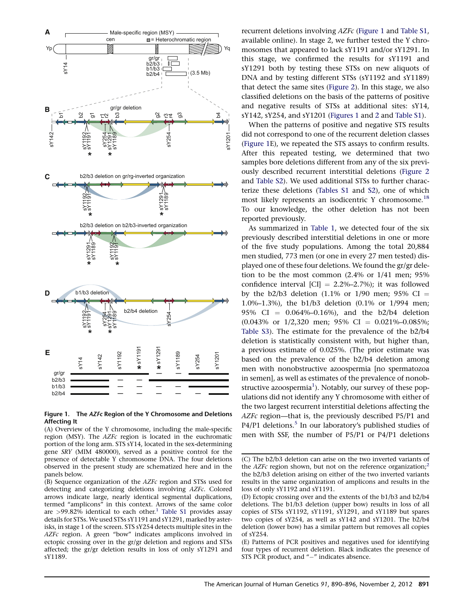<span id="page-1-0"></span>

Figure 1. The AZFc Region of the Y Chromosome and Deletions Affecting It

(A) Overview of the Y chromosome, including the male-specific region (MSY). The AZFc region is located in the euchromatic portion of the long arm. STS sY14, located in the sex-determining gene SRY (MIM 480000), served as a positive control for the presence of detectable Y chromosome DNA. The four deletions observed in the present study are schematized here and in the panels below.

(B) Sequence organization of the AZFc region and STSs used for detecting and categorizing deletions involving AZFc. Colored arrows indicate large, nearly identical segmental duplications, termed ''amplicons'' in this context. Arrows of the same color are  $>99.82\%$  identical to each other.<sup>1</sup> [Table S1](#page-5-0) provides assay details for STSs. We used STSs sY1191 and sY1291, marked by asterisks, in stage 1 of the screen. STS sY254 detects multiple sites in the AZFc region. A green "bow" indicates amplicons involved in ectopic crossing over in the gr/gr deletion and regions and STSs affected; the gr/gr deletion results in loss of only sY1291 and sY1189.

recurrent deletions involving AZFc (Figure 1 and [Table S1](#page-5-0), available online). In stage 2, we further tested the Y chromosomes that appeared to lack sY1191 and/or sY1291. In this stage, we confirmed the results for sY1191 and sY1291 both by testing these STSs on new aliquots of DNA and by testing different STSs (sY1192 and sY1189) that detect the same sites ([Figure 2\)](#page-2-0). In this stage, we also classified deletions on the basis of the patterns of positive and negative results of STSs at additional sites: sY14, sY142, sY254, and sY1201 (Figures 1 and [2](#page-2-0) and [Table S1\)](#page-5-0).

When the patterns of positive and negative STS results did not correspond to one of the recurrent deletion classes (Figure 1E), we repeated the STS assays to confirm results. After this repeated testing, we determined that two samples bore deletions different from any of the six previously described recurrent interstitial deletions ([Figure 2](#page-2-0) and [Table S2\)](#page-5-0). We used additional STSs to further characterize these deletions [\(Tables S1](#page-5-0) and [S2](#page-5-0)), one of which most likely represents an isodicentric Y chromosome.<sup>[18](#page-6-0)</sup> To our knowledge, the other deletion has not been reported previously.

As summarized in [Table 1](#page-2-0), we detected four of the six previously described interstitial deletions in one or more of the five study populations. Among the total 20,884 men studied, 773 men (or one in every 27 men tested) displayed one of these four deletions. We found the gr/gr deletion to be the most common (2.4% or 1/41 men; 95% confidence interval  $|CI| = 2.2\% - 2.7\%$ ; it was followed by the b2/b3 deletion  $(1.1\% \text{ or } 1/90 \text{ men}; 95\% \text{ CI} =$ 1.0%–1.3%), the b1/b3 deletion (0.1% or 1/994 men; 95% CI =  $0.064\% - 0.16\%$ ), and the b2/b4 deletion  $(0.043\% \text{ or } 1/2,320 \text{ men}; 95\% \text{ CI} = 0.021\% - 0.085\%;$ [Table S3\)](#page-5-0). The estimate for the prevalence of the b2/b4 deletion is statistically consistent with, but higher than, a previous estimate of 0.025%. (The prior estimate was based on the prevalence of the b2/b4 deletion among men with nonobstructive azoospermia [no spermatozoa in semen], as well as estimates of the prevalence of nonob-structive azoospermia<sup>[1](#page-5-0)</sup>). Notably, our survey of these populations did not identify any Y chromosome with either of the two largest recurrent interstitial deletions affecting the AZFc region—that is, the previously described P5/P1 and P4/P1 deletions.<sup>[5](#page-5-0)</sup> In our laboratory's published studies of men with SSF, the number of P5/P1 or P4/P1 deletions

<sup>(</sup>C) The b2/b3 deletion can arise on the two inverted variants of the  $AZFc$  region shown, but not on the reference organization;<sup>2</sup> the b2/b3 deletion arising on either of the two inverted variants results in the same organization of amplicons and results in the loss of only sY1192 and sY1191.

<sup>(</sup>D) Ectopic crossing over and the extents of the b1/b3 and b2/b4 deletions. The b1/b3 deletion (upper bow) results in loss of all copies of STSs sY1192, sY1191, sY1291, and sY1189 but spares two copies of sY254, as well as sY142 and sY1201. The b2/b4 deletion (lower bow) has a similar pattern but removes all copies of sY254.

<sup>(</sup>E) Patterns of PCR positives and negatives used for identifying four types of recurrent deletion. Black indicates the presence of STS PCR product, and "<sup>-</sup>" indicates absence.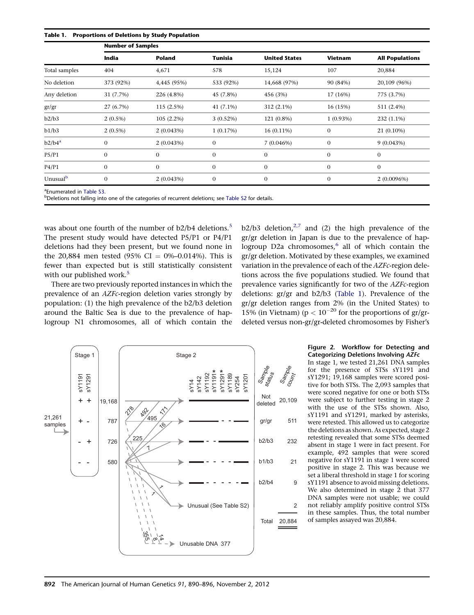#### <span id="page-2-0"></span>Table 1. Proportions of Deletions by Study Population

|                      | <b>Number of Samples</b> |                  |                |                      |                  |                        |
|----------------------|--------------------------|------------------|----------------|----------------------|------------------|------------------------|
|                      | India                    | <b>Poland</b>    | <b>Tunisia</b> | <b>United States</b> | Vietnam          | <b>All Populations</b> |
| Total samples        | 404                      | 4,671            | 578            | 15,124               | 107              | 20,884                 |
| No deletion          | 373 (92%)                | 4,445 (95%)      | 533 (92%)      | 14,668 (97%)         | 90 (84%)         | 20,109 (96%)           |
| Any deletion         | 31 (7.7%)                | 226 (4.8%)       | 45 (7.8%)      | 456 (3%)             | 17 (16%)         | 775 (3.7%)             |
| gr/gr                | 27 (6.7%)                | 115 (2.5%)       | 41 (7.1%)      | 312 (2.1%)           | 16 (15%)         | 511 (2.4%)             |
| b2/b3                | $2(0.5\%)$               | 105 (2.2%)       | $3(0.52\%)$    | 121 (0.8%)           | $1(0.93\%)$      | 232 (1.1%)             |
| b1/b3                | $2(0.5\%)$               | 2(0.043%)        | 1(0.17%)       | $16(0.11\%)$         | $\mathbf 0$      | 21 (0.10%)             |
| $b2/b4^a$            | $\boldsymbol{0}$         | 2(0.043%)        | $\overline{0}$ | $7(0.046\%)$         | $\boldsymbol{0}$ | 9(0.043%)              |
| P5/P1                | $\boldsymbol{0}$         | $\boldsymbol{0}$ | $\overline{0}$ | $\mathbf{0}$         | $\mathbf{0}$     | $\mathbf{0}$           |
| P4/P1                | $\mathbf{0}$             | $\mathbf{0}$     | $\overline{0}$ | $\overline{0}$       | $\overline{0}$   | $\mathbf{0}$           |
| Unusual <sup>b</sup> | $\mathbf{0}$             | 2(0.043%)        | $\overline{0}$ | $\Omega$             | $\mathbf{0}$     | $2(0.0096\%)$          |

<sup>a</sup> Fnumerated in Table S3.

<sup>a</sup>Enumerated in [Table S3.](#page-5-0)<br><sup>b</sup>Deletions not falling into one of the categories of recurrent deletions; see [Table S2](#page-5-0) for details.

was about one fourth of the number of b2/b4 deletions.<sup>[5](#page-5-0)</sup> The present study would have detected P5/P1 or P4/P1 deletions had they been present, but we found none in the 20,884 men tested (95% CI = 0%–0.014%). This is fewer than expected but is still statistically consistent with our published work.<sup>[5](#page-5-0)</sup>

There are two previously reported instances in which the prevalence of an AZFc-region deletion varies strongly by population: (1) the high prevalence of the b2/b3 deletion around the Baltic Sea is due to the prevalence of haplogroup N1 chromosomes, all of which contain the

 $b2/b3$  deletion,<sup>[2,7](#page-5-0)</sup> and (2) the high prevalence of the gr/gr deletion in Japan is due to the prevalence of haplogroup D2a chromosomes, $6$  all of which contain the gr/gr deletion. Motivated by these examples, we examined variation in the prevalence of each of the AZFc-region deletions across the five populations studied. We found that prevalence varies significantly for two of the AZFc-region deletions: gr/gr and b2/b3 (Table 1). Prevalence of the gr/gr deletion ranges from 2% (in the United States) to 15% (in Vietnam) ( $p < 10^{-20}$  for the proportions of gr/grdeleted versus non-gr/gr-deleted chromosomes by Fisher's



#### Figure 2. Workflow for Detecting and Categorizing Deletions Involving AZFc

In stage 1, we tested 21,261 DNA samples for the presence of STSs sY1191 and sY1291; 19,168 samples were scored positive for both STSs. The 2,093 samples that were scored negative for one or both STSs were subject to further testing in stage 2 with the use of the STSs shown. Also, sY1191 and sY1291, marked by asterisks, were retested. This allowed us to categorize the deletions as shown. As expected, stage 2 retesting revealed that some STSs deemed absent in stage 1 were in fact present. For example, 492 samples that were scored negative for sY1191 in stage 1 were scored positive in stage 2. This was because we set a liberal threshold in stage 1 for scoring sY1191 absence to avoid missing deletions. We also determined in stage 2 that 377 DNA samples were not usable; we could not reliably amplify positive control STSs in these samples. Thus, the total number of samples assayed was 20,884.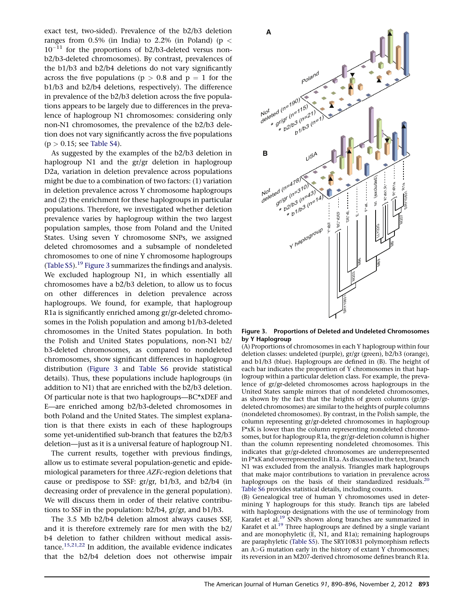exact test, two-sided). Prevalence of the b2/b3 deletion ranges from 0.5% (in India) to 2.2% (in Poland) ( $p <$  $10^{-11}$  for the proportions of b2/b3-deleted versus nonb2/b3-deleted chromosomes). By contrast, prevalences of the b1/b3 and b2/b4 deletions do not vary significantly across the five populations ( $p > 0.8$  and  $p = 1$  for the b1/b3 and b2/b4 deletions, respectively). The difference in prevalence of the b2/b3 deletion across the five populations appears to be largely due to differences in the prevalence of haplogroup N1 chromosomes: considering only non-N1 chromosomes, the prevalence of the b2/b3 deletion does not vary significantly across the five populations  $(p > 0.15$ ; see [Table S4](#page-5-0)).

As suggested by the examples of the b2/b3 deletion in haplogroup N1 and the gr/gr deletion in haplogroup D2a, variation in deletion prevalence across populations might be due to a combination of two factors: (1) variation in deletion prevalence across Y chromosome haplogroups and (2) the enrichment for these haplogroups in particular populations. Therefore, we investigated whether deletion prevalence varies by haplogroup within the two largest population samples, those from Poland and the United States. Using seven Y chromosome SNPs, we assigned deleted chromosomes and a subsample of nondeleted chromosomes to one of nine Y chromosome haplogroups ([Table S5\)](#page-5-0).<sup>[19](#page-6-0)</sup> Figure 3 summarizes the findings and analysis. We excluded haplogroup N1, in which essentially all chromosomes have a b2/b3 deletion, to allow us to focus on other differences in deletion prevalence across haplogroups. We found, for example, that haplogroup R1a is significantly enriched among gr/gr-deleted chromosomes in the Polish population and among b1/b3-deleted chromosomes in the United States population. In both the Polish and United States populations, non-N1 b2/ b3-deleted chromosomes, as compared to nondeleted chromosomes, show significant differences in haplogroup distribution (Figure 3 and [Table S6](#page-5-0) provide statistical details). Thus, these populations include haplogroups (in addition to N1) that are enriched with the b2/b3 deletion. Of particular note is that two haplogroups—BC\*xDEF and E—are enriched among b2/b3-deleted chromosomes in both Poland and the United States. The simplest explanation is that there exists in each of these haplogroups some yet-unidentified sub-branch that features the b2/b3 deletion—just as it is a universal feature of haplogroup N1.

The current results, together with previous findings, allow us to estimate several population-genetic and epidemiological parameters for three AZFc-region deletions that cause or predispose to SSF: gr/gr, b1/b3, and b2/b4 (in decreasing order of prevalence in the general population). We will discuss them in order of their relative contributions to SSF in the population: b2/b4, gr/gr, and b1/b3.

The 3.5 Mb b2/b4 deletion almost always causes SSF, and it is therefore extremely rare for men with the b2/ b4 deletion to father children without medical assistance. $15,21,22$  In addition, the available evidence indicates that the b2/b4 deletion does not otherwise impair



Figure 3. Proportions of Deleted and Undeleted Chromosomes by Y Haplogroup

(A) Proportions of chromosomes in each Y haplogroup within four deletion classes: undeleted (purple), gr/gr (green), b2/b3 (orange), and b1/b3 (blue). Haplogroups are defined in (B). The height of each bar indicates the proportion of Y chromosomes in that haplogroup within a particular deletion class. For example, the prevalence of gr/gr-deleted chromosomes across haplogroups in the United States sample mirrors that of nondeleted chromosomes, as shown by the fact that the heights of green columns (gr/grdeleted chromosomes) are similar to the heights of purple columns (nondeleted chromosomes). By contrast, in the Polish sample, the column representing gr/gr-deleted chromosomes in haplogroup F\*xK is lower than the column representing nondeleted chromosomes, but for haplogroup R1a, the gr/gr-deletion column is higher than the column representing nondeleted chromosomes. This indicates that gr/gr-deleted chromosomes are underrepresented in F\*xK and overrepresented in R1a. As discussed in the text, branch N1 was excluded from the analysis. Triangles mark haplogroups that make major contributions to variation in prevalence across haplogroups on the basis of their standardized residuals.<sup>[20](#page-6-0)</sup> [Table S6](#page-5-0) provides statistical details, including counts.

(B) Genealogical tree of human Y chromosomes used in determining Y haplogroups for this study. Branch tips are labeled with haplogroup designations with the use of terminology from Karafet et al.<sup>[19](#page-6-0)</sup> SNPs shown along branches are summarized in Karafet et al.[19](#page-6-0) Three haplogroups are defined by a single variant and are monophyletic (E, N1, and R1a); remaining haplogroups are paraphyletic [\(Table S5](#page-5-0)). The SRY10831 polymorphism reflects an  $A > G$  mutation early in the history of extant Y chromosomes; its reversion in an M207-derived chromosome defines branch R1a.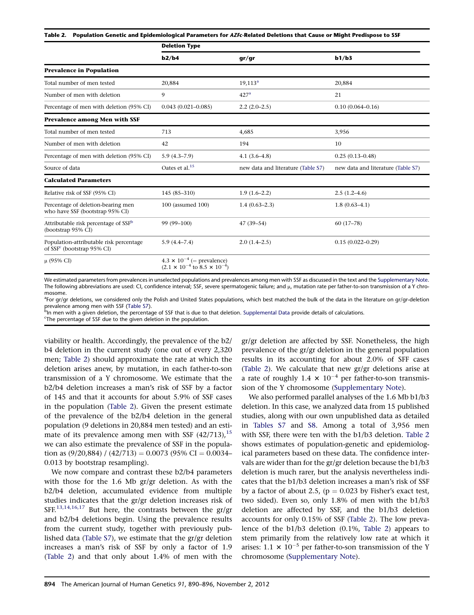|                                                                         | <b>Deletion Type</b>                                                                         |                                    |                                    |  |  |
|-------------------------------------------------------------------------|----------------------------------------------------------------------------------------------|------------------------------------|------------------------------------|--|--|
|                                                                         | b2/b4                                                                                        | gr/gr                              | b1/b3                              |  |  |
| <b>Prevalence in Population</b>                                         |                                                                                              |                                    |                                    |  |  |
| Total number of men tested                                              | 20,884                                                                                       | $19,113^a$                         | 20,884                             |  |  |
| Number of men with deletion                                             | 9                                                                                            | 427 <sup>a</sup>                   | 21                                 |  |  |
| Percentage of men with deletion (95% CI)                                | $0.043(0.021 - 0.085)$                                                                       | $2.2(2.0-2.5)$                     | $0.10(0.064 - 0.16)$               |  |  |
| <b>Prevalence among Men with SSF</b>                                    |                                                                                              |                                    |                                    |  |  |
| Total number of men tested                                              | 713                                                                                          | 4,685                              | 3,956                              |  |  |
| Number of men with deletion                                             | 42                                                                                           | 194                                | 10                                 |  |  |
| Percentage of men with deletion (95% CI)                                | $5.9(4.3-7.9)$                                                                               | $4.1(3.6-4.8)$                     | $0.25(0.13 - 0.48)$                |  |  |
| Source of data                                                          | Oates et al. <sup>15</sup>                                                                   | new data and literature (Table S7) | new data and literature (Table S7) |  |  |
| <b>Calculated Parameters</b>                                            |                                                                                              |                                    |                                    |  |  |
| Relative risk of SSF (95% CI)                                           | 145 (85-310)                                                                                 | $1.9(1.6-2.2)$                     | $2.5(1.2-4.6)$                     |  |  |
| Percentage of deletion-bearing men<br>who have SSF (bootstrap 95% CI)   | 100 (assumed 100)                                                                            | $1.4(0.63 - 2.3)$                  | $1.8(0.63 - 4.1)$                  |  |  |
| Attributable risk percentage of SSF <sup>b</sup><br>(bootstrap 95% CI)  | 99 (99-100)                                                                                  | $47(39-54)$                        | $60(17-78)$                        |  |  |
| Population-attributable risk percentage<br>of $SSFc$ (bootstrap 95% CI) | $5.9(4.4-7.4)$                                                                               | $2.0(1.4-2.5)$                     | $0.15(0.022 - 0.29)$               |  |  |
| $\mu$ (95% CI)                                                          | $4.3 \times 10^{-4}$ (= prevalence)<br>$(2.1 \times 10^{-4} \text{ to } 8.5 \times 10^{-4})$ |                                    |                                    |  |  |

We estimated parameters from prevalences in unselected populations and prevalences among men with SSF as discussed in the text and the [Supplementary Note.](#page-5-0) The following abbreviations are used: CI, confidence interval; SSF, severe spermatogenic failure; and  $\mu$ , mutation rate per father-to-son transmission of a Y chromosome.

<sup>a</sup>For gr/gr deletions, we considered only the Polish and United States populations, which best matched the bulk of the data in the literature on gr/gr-deletion prevalence among men with SSF ([Table S7](#page-5-0)).<br><sup>b</sup>ln men with a given deletion, the percentar

<sup>n</sup>In men with a given deletion, the percentage of SSF that is due to that deletion. [Supplemental Data](#page-5-0) provide details of calculations.<br><sup>c</sup>The percentage of SSF due to the given deletion in the population

The percentage of SSF due to the given deletion in the population.

viability or health. Accordingly, the prevalence of the b2/ b4 deletion in the current study (one out of every 2,320 men; Table 2) should approximate the rate at which the deletion arises anew, by mutation, in each father-to-son transmission of a Y chromosome. We estimate that the b2/b4 deletion increases a man's risk of SSF by a factor of 145 and that it accounts for about 5.9% of SSF cases in the population (Table 2). Given the present estimate of the prevalence of the b2/b4 deletion in the general population (9 deletions in 20,884 men tested) and an estimate of its prevalence among men with SSF  $(42/713)$ , <sup>[15](#page-6-0)</sup> we can also estimate the prevalence of SSF in the population as  $(9/20,884) / (42/713) = 0.0073$  (95% CI = 0.0034– 0.013 by bootstrap resampling).

We now compare and contrast these b2/b4 parameters with those for the 1.6 Mb gr/gr deletion. As with the b2/b4 deletion, accumulated evidence from multiple studies indicates that the gr/gr deletion increases risk of SFF.<sup>[13,14,16,17](#page-6-0)</sup> But here, the contrasts between the gr/gr and b2/b4 deletions begin. Using the prevalence results from the current study, together with previously published data ([Table S7\)](#page-5-0), we estimate that the gr/gr deletion increases a man's risk of SSF by only a factor of 1.9 (Table 2) and that only about 1.4% of men with the

gr/gr deletion are affected by SSF. Nonetheless, the high prevalence of the gr/gr deletion in the general population results in its accounting for about 2.0% of SFF cases (Table 2). We calculate that new gr/gr deletions arise at a rate of roughly  $1.4 \times 10^{-4}$  per father-to-son transmission of the Y chromosome [\(Supplementary Note](#page-5-0)).

We also performed parallel analyses of the 1.6 Mb b1/b3 deletion. In this case, we analyzed data from 15 published studies, along with our own unpublished data as detailed in [Tables S7](#page-5-0) and [S8.](#page-5-0) Among a total of 3,956 men with SSF, there were ten with the b1/b3 deletion. Table 2 shows estimates of population-genetic and epidemiological parameters based on these data. The confidence intervals are wider than for the gr/gr deletion because the b1/b3 deletion is much rarer, but the analysis nevertheless indicates that the b1/b3 deletion increases a man's risk of SSF by a factor of about 2.5, ( $p = 0.023$  by Fisher's exact test, two sided). Even so, only 1.8% of men with the b1/b3 deletion are affected by SSF, and the b1/b3 deletion accounts for only 0.15% of SSF (Table 2). The low prevalence of the b1/b3 deletion (0.1%, Table 2) appears to stem primarily from the relatively low rate at which it arises:  $1.1 \times 10^{-5}$  per father-to-son transmission of the Y chromosome [\(Supplementary Note\)](#page-5-0).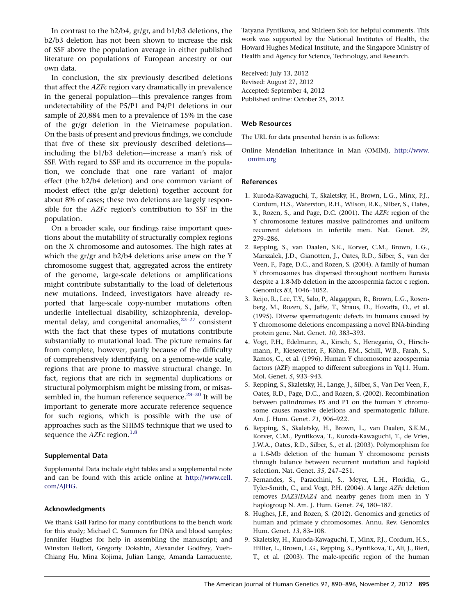<span id="page-5-0"></span>In contrast to the b2/b4, gr/gr, and b1/b3 deletions, the b2/b3 deletion has not been shown to increase the risk of SSF above the population average in either published literature on populations of European ancestry or our own data.

In conclusion, the six previously described deletions that affect the AZFc region vary dramatically in prevalence in the general population—this prevalence ranges from undetectability of the P5/P1 and P4/P1 deletions in our sample of 20,884 men to a prevalence of 15% in the case of the gr/gr deletion in the Vietnamese population. On the basis of present and previous findings, we conclude that five of these six previously described deletions including the b1/b3 deletion—increase a man's risk of SSF. With regard to SSF and its occurrence in the population, we conclude that one rare variant of major effect (the b2/b4 deletion) and one common variant of modest effect (the gr/gr deletion) together account for about 8% of cases; these two deletions are largely responsible for the AZFc region's contribution to SSF in the population.

On a broader scale, our findings raise important questions about the mutability of structurally complex regions on the X chromosome and autosomes. The high rates at which the gr/gr and b2/b4 deletions arise anew on the Y chromosome suggest that, aggregated across the entirety of the genome, large-scale deletions or amplifications might contribute substantially to the load of deleterious new mutations. Indeed, investigators have already reported that large-scale copy-number mutations often underlie intellectual disability, schizophrenia, developmental delay, and congenital anomalies, $23-27$  consistent with the fact that these types of mutations contribute substantially to mutational load. The picture remains far from complete, however, partly because of the difficulty of comprehensively identifying, on a genome-wide scale, regions that are prone to massive structural change. In fact, regions that are rich in segmental duplications or structural polymorphism might be missing from, or misassembled in, the human reference sequence. $28-30$  It will be important to generate more accurate reference sequence for such regions, which is possible with the use of approaches such as the SHIMS technique that we used to sequence the  $AZFc$  region.<sup>1,8</sup>

### Supplemental Data

Supplemental Data include eight tables and a supplemental note and can be found with this article online at [http://www.cell.](http://www.cell.com/AJHG) [com/AJHG](http://www.cell.com/AJHG).

### Acknowledgments

We thank Gail Farino for many contributions to the bench work for this study; Michael C. Summers for DNA and blood samples; Jennifer Hughes for help in assembling the manuscript; and Winston Bellott, Gregoriy Dokshin, Alexander Godfrey, Yueh-Chiang Hu, Mina Kojima, Julian Lange, Amanda Larracuente, Tatyana Pyntikova, and Shirleen Soh for helpful comments. This work was supported by the National Institutes of Health, the Howard Hughes Medical Institute, and the Singapore Ministry of Health and Agency for Science, Technology, and Research.

Received: July 13, 2012 Revised: August 27, 2012 Accepted: September 4, 2012 Published online: October 25, 2012

## Web Resources

The URL for data presented herein is as follows:

Online Mendelian Inheritance in Man (OMIM), [http://www.](http://www.omim.org) [omim.org](http://www.omim.org)

### References

- 1. Kuroda-Kawaguchi, T., Skaletsky, H., Brown, L.G., Minx, P.J., Cordum, H.S., Waterston, R.H., Wilson, R.K., Silber, S., Oates, R., Rozen, S., and Page, D.C. (2001). The AZFc region of the Y chromosome features massive palindromes and uniform recurrent deletions in infertile men. Nat. Genet. 29, 279–286.
- 2. Repping, S., van Daalen, S.K., Korver, C.M., Brown, L.G., Marszalek, J.D., Gianotten, J., Oates, R.D., Silber, S., van der Veen, F., Page, D.C., and Rozen, S. (2004). A family of human Y chromosomes has dispersed throughout northern Eurasia despite a 1.8-Mb deletion in the azoospermia factor c region. Genomics 83, 1046–1052.
- 3. Reijo, R., Lee, T.Y., Salo, P., Alagappan, R., Brown, L.G., Rosenberg, M., Rozen, S., Jaffe, T., Straus, D., Hovatta, O., et al. (1995). Diverse spermatogenic defects in humans caused by Y chromosome deletions encompassing a novel RNA-binding protein gene. Nat. Genet. 10, 383–393.
- 4. Vogt, P.H., Edelmann, A., Kirsch, S., Henegariu, O., Hirschmann, P., Kiesewetter, F., Köhn, F.M., Schill, W.B., Farah, S., Ramos, C., et al. (1996). Human Y chromosome azoospermia factors (AZF) mapped to different subregions in Yq11. Hum. Mol. Genet. 5, 933–943.
- 5. Repping, S., Skaletsky, H., Lange, J., Silber, S., Van Der Veen, F., Oates, R.D., Page, D.C., and Rozen, S. (2002). Recombination between palindromes P5 and P1 on the human Y chromosome causes massive deletions and spermatogenic failure. Am. J. Hum. Genet. 71, 906–922.
- 6. Repping, S., Skaletsky, H., Brown, L., van Daalen, S.K.M., Korver, C.M., Pyntikova, T., Kuroda-Kawaguchi, T., de Vries, J.W.A., Oates, R.D., Silber, S., et al. (2003). Polymorphism for a 1.6-Mb deletion of the human Y chromosome persists through balance between recurrent mutation and haploid selection. Nat. Genet. 35, 247–251.
- 7. Fernandes, S., Paracchini, S., Meyer, L.H., Floridia, G., Tyler-Smith, C., and Vogt, P.H. (2004). A large AZFc deletion removes DAZ3/DAZ4 and nearby genes from men in Y haplogroup N. Am. J. Hum. Genet. 74, 180–187.
- 8. Hughes, J.F., and Rozen, S. (2012). Genomics and genetics of human and primate y chromosomes. Annu. Rev. Genomics Hum. Genet. 13, 83–108.
- 9. Skaletsky, H., Kuroda-Kawaguchi, T., Minx, P.J., Cordum, H.S., Hillier, L., Brown, L.G., Repping, S., Pyntikova, T., Ali, J., Bieri, T., et al. (2003). The male-specific region of the human